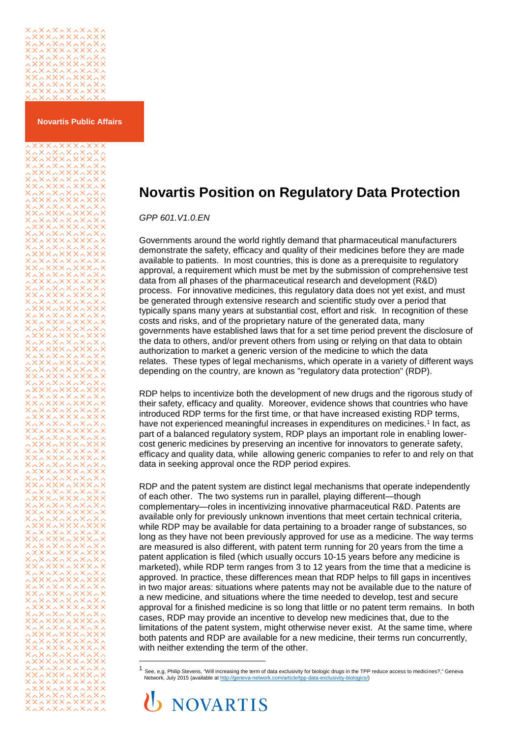

**Novartis Public Affairs**

**XXxxXXxxXX** 

## **Novartis Position on Regulatory Data Protection**

*GPP 601.V1.0.EN*

Governments around the world rightly demand that pharmaceutical manufacturers demonstrate the safety, efficacy and quality of their medicines before they are made available to patients. In most countries, this is done as a prerequisite to regulatory approval, a requirement which must be met by the submission of comprehensive test data from all phases of the pharmaceutical research and development (R&D) process. For innovative medicines, this regulatory data does not yet exist, and must be generated through extensive research and scientific study over a period that typically spans many years at substantial cost, effort and risk. In recognition of these costs and risks, and of the proprietary nature of the generated data, many governments have established laws that for a set time period prevent the disclosure of the data to others, and/or prevent others from using or relying on that data to obtain authorization to market a generic version of the medicine to which the data relates. These types of legal mechanisms, which operate in a variety of different ways depending on the country, are known as "regulatory data protection" (RDP).

RDP helps to incentivize both the development of new drugs and the rigorous study of their safety, efficacy and quality. Moreover, evidence shows that countries who have introduced RDP terms for the first time, or that have increased existing RDP terms, have not experienced meaningful increases in expenditures on medicines.<sup>1</sup> In fact, as part of a balanced regulatory system, RDP plays an important role in enabling lowercost generic medicines by preserving an incentive for innovators to generate safety, efficacy and quality data, while allowing generic companies to refer to and rely on that data in seeking approval once the RDP period expires.

RDP and the patent system are distinct legal mechanisms that operate independently of each other. The two systems run in parallel, playing different—though complementary—roles in incentivizing innovative pharmaceutical R&D. Patents are available only for previously unknown inventions that meet certain technical criteria, while RDP may be available for data pertaining to a broader range of substances, so long as they have not been previously approved for use as a medicine. The way terms are measured is also different, with patent term running for 20 years from the time a patent application is filed (which usually occurs 10-15 years before any medicine is marketed), while RDP term ranges from 3 to 12 years from the time that a medicine is approved. In practice, these differences mean that RDP helps to fill gaps in incentives in two major areas: situations where patents may not be available due to the nature of a new medicine, and situations where the time needed to develop, test and secure approval for a finished medicine is so long that little or no patent term remains. In both cases, RDP may provide an incentive to develop new medicines that, due to the limitations of the patent system, might otherwise never exist. At the same time, where both patents and RDP are available for a new medicine, their terms run concurrently, with neither extending the term of the other.

See, e,g, Philip Stevens, "Will increasing the term of data exclusivity for biologic drugs in the TPP reduce access to medicines?," Geneva Network, July 2015 (available a[t http://geneva-network.com/article/tpp-data-exclusivity-biologics/\)](http://geneva-network.com/article/tpp-data-exclusivity-biologics/)



l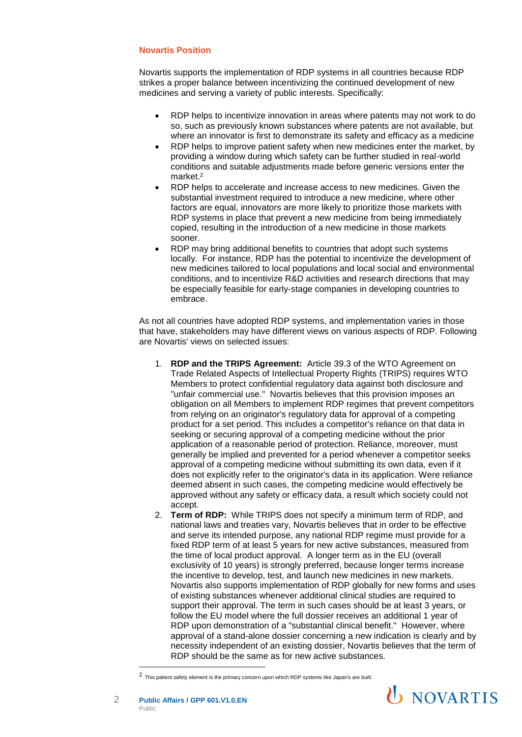## **Novartis Position**

Novartis supports the implementation of RDP systems in all countries because RDP strikes a proper balance between incentivizing the continued development of new medicines and serving a variety of public interests. Specifically:

- RDP helps to incentivize innovation in areas where patents may not work to do so, such as previously known substances where patents are not available, but where an innovator is first to demonstrate its safety and efficacy as a medicine
- RDP helps to improve patient safety when new medicines enter the market, by providing a window during which safety can be further studied in real-world conditions and suitable adjustments made before generic versions enter the market.<sup>2</sup>
- RDP helps to accelerate and increase access to new medicines. Given the substantial investment required to introduce a new medicine, where other factors are equal, innovators are more likely to prioritize those markets with RDP systems in place that prevent a new medicine from being immediately copied, resulting in the introduction of a new medicine in those markets sooner.
- RDP may bring additional benefits to countries that adopt such systems locally. For instance, RDP has the potential to incentivize the development of new medicines tailored to local populations and local social and environmental conditions, and to incentivize R&D activities and research directions that may be especially feasible for early-stage companies in developing countries to embrace.

As not all countries have adopted RDP systems, and implementation varies in those that have, stakeholders may have different views on various aspects of RDP. Following are Novartis' views on selected issues:

- 1. **RDP and the TRIPS Agreement:** Article 39.3 of the WTO Agreement on Trade Related Aspects of Intellectual Property Rights (TRIPS) requires WTO Members to protect confidential regulatory data against both disclosure and "unfair commercial use." Novartis believes that this provision imposes an obligation on all Members to implement RDP regimes that prevent competitors from relying on an originator's regulatory data for approval of a competing product for a set period. This includes a competitor's reliance on that data in seeking or securing approval of a competing medicine without the prior application of a reasonable period of protection. Reliance, moreover, must generally be implied and prevented for a period whenever a competitor seeks approval of a competing medicine without submitting its own data, even if it does not explicitly refer to the originator's data in its application. Were reliance deemed absent in such cases, the competing medicine would effectively be approved without any safety or efficacy data, a result which society could not accept.
- 2. **Term of RDP:** While TRIPS does not specify a minimum term of RDP, and national laws and treaties vary, Novartis believes that in order to be effective and serve its intended purpose, any national RDP regime must provide for a fixed RDP term of at least 5 years for new active substances, measured from the time of local product approval. A longer term as in the EU (overall exclusivity of 10 years) is strongly preferred, because longer terms increase the incentive to develop, test, and launch new medicines in new markets. Novartis also supports implementation of RDP globally for new forms and uses of existing substances whenever additional clinical studies are required to support their approval. The term in such cases should be at least 3 years, or follow the EU model where the full dossier receives an additional 1 year of RDP upon demonstration of a "substantial clinical benefit." However, where approval of a stand-alone dossier concerning a new indication is clearly and by necessity independent of an existing dossier, Novartis believes that the term of RDP should be the same as for new active substances.

<sup>2</sup> This patient safety element is the primary concern upon which RDP systems like Japan's are built.



l